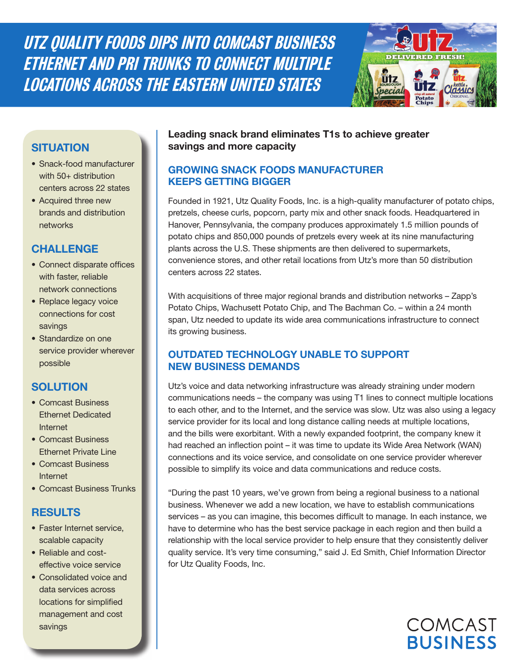UTZ QUALITY FOODS DIPS INTO COMCAST BUSINESS ETHERNET AND PRI TRUNKS TO CONNECT MULTIPLE LOCATIONS ACROSS THE EASTERN UNITED STATES



# **SITUATION**

- Snack-food manufacturer with 50+ distribution centers across 22 states
- Acquired three new brands and distribution networks

### **CHALLENGE**

- Connect disparate offices with faster, reliable network connections
- Replace legacy voice connections for cost savings
- Standardize on one service provider wherever possible

# **SOLUTION**

- Comcast Business Ethernet Dedicated Internet
- Comcast Business Ethernet Private Line
- Comcast Business Internet
- Comcast Business Trunks

# **RESULTS**

- Faster Internet service, scalable capacity
- Reliable and costeffective voice service
- Consolidated voice and data services across locations for simplified management and cost savings

#### **Leading snack brand eliminates T1s to achieve greater savings and more capacity**

### **GROWING SNACK FOODS MANUFACTURER KEEPS GETTING BIGGER**

Founded in 1921, Utz Quality Foods, Inc. is a high-quality manufacturer of potato chips, pretzels, cheese curls, popcorn, party mix and other snack foods. Headquartered in Hanover, Pennsylvania, the company produces approximately 1.5 million pounds of potato chips and 850,000 pounds of pretzels every week at its nine manufacturing plants across the U.S. These shipments are then delivered to supermarkets, convenience stores, and other retail locations from Utz's more than 50 distribution centers across 22 states.

With acquisitions of three major regional brands and distribution networks – Zapp's Potato Chips, Wachusett Potato Chip, and The Bachman Co. – within a 24 month span, Utz needed to update its wide area communications infrastructure to connect its growing business.

### **OUTDATED TECHNOLOGY UNABLE TO SUPPORT NEW BUSINESS DEMANDS**

Utz's voice and data networking infrastructure was already straining under modern communications needs – the company was using T1 lines to connect multiple locations to each other, and to the Internet, and the service was slow. Utz was also using a legacy service provider for its local and long distance calling needs at multiple locations, and the bills were exorbitant. With a newly expanded footprint, the company knew it had reached an inflection point – it was time to update its Wide Area Network (WAN) connections and its voice service, and consolidate on one service provider wherever possible to simplify its voice and data communications and reduce costs.

"During the past 10 years, we've grown from being a regional business to a national business. Whenever we add a new location, we have to establish communications services – as you can imagine, this becomes difficult to manage. In each instance, we have to determine who has the best service package in each region and then build a relationship with the local service provider to help ensure that they consistently deliver quality service. It's very time consuming," said J. Ed Smith, Chief Information Director for Utz Quality Foods, Inc.